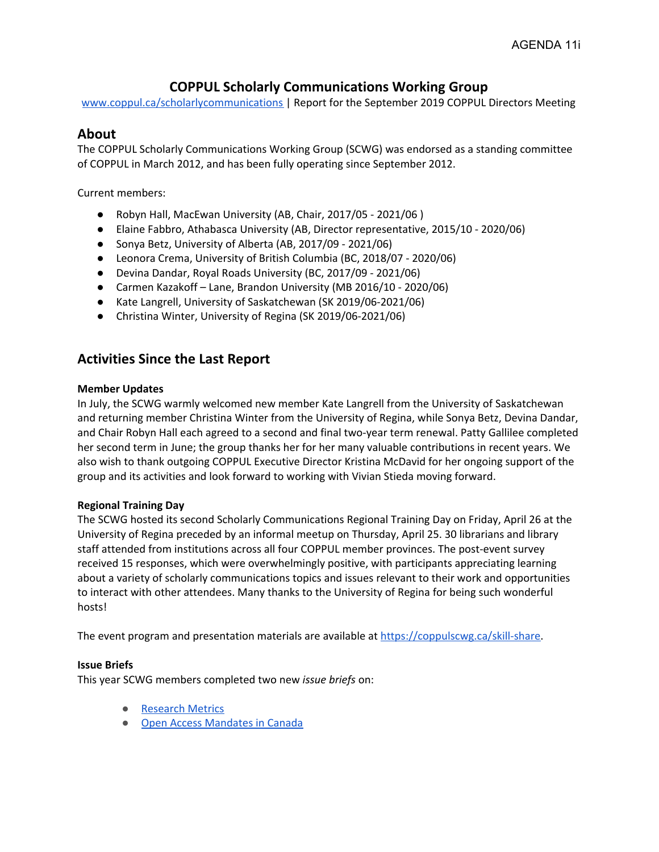# **COPPUL Scholarly Communications Working Group**

[www.coppul.ca/scholarlycommunications](http://www.coppul.ca/scholarlycommunications) | Report for the September 2019 COPPUL Directors Meeting

# **About**

The COPPUL Scholarly Communications Working Group (SCWG) was endorsed as a standing committee of COPPUL in March 2012, and has been fully operating since September 2012.

Current members:

- Robyn Hall, MacEwan University (AB, Chair, 2017/05 2021/06 )
- Elaine Fabbro, Athabasca University (AB, Director representative, 2015/10 2020/06)
- Sonya Betz, University of Alberta (AB, 2017/09 2021/06)
- Leonora Crema, University of British Columbia (BC, 2018/07 2020/06)
- Devina Dandar, Royal Roads University (BC, 2017/09 2021/06)
- Carmen Kazakoff Lane, Brandon University (MB 2016/10 2020/06)
- Kate Langrell, University of Saskatchewan (SK 2019/06-2021/06)
- Christina Winter, University of Regina (SK 2019/06-2021/06)

# **Activities Since the Last Report**

### **Member Updates**

In July, the SCWG warmly welcomed new member Kate Langrell from the University of Saskatchewan and returning member Christina Winter from the University of Regina, while Sonya Betz, Devina Dandar, and Chair Robyn Hall each agreed to a second and final two-year term renewal. Patty Gallilee completed her second term in June; the group thanks her for her many valuable contributions in recent years. We also wish to thank outgoing COPPUL Executive Director Kristina McDavid for her ongoing support of the group and its activities and look forward to working with Vivian Stieda moving forward.

## **Regional Training Day**

The SCWG hosted its second Scholarly Communications Regional Training Day on Friday, April 26 at the University of Regina preceded by an informal meetup on Thursday, April 25. 30 librarians and library staff attended from institutions across all four COPPUL member provinces. The post-event survey received 15 responses, which were overwhelmingly positive, with participants appreciating learning about a variety of scholarly communications topics and issues relevant to their work and opportunities to interact with other attendees. Many thanks to the University of Regina for being such wonderful hosts!

The event program and presentation materials are available at [https://coppulscwg.ca/skill-share](https://coppulscwg.ca/skill-share/).

## **Issue Briefs**

This year SCWG members completed two new *issue briefs* on:

- [Research](https://coppulscwg.files.wordpress.com/2019/07/issues-brief_-research-metrics-2019.pdf) Metrics
- Open Access [Mandates](https://coppulscwg.files.wordpress.com/2019/07/issues-brief_-oa-mandates-2019.pdf) in Canada